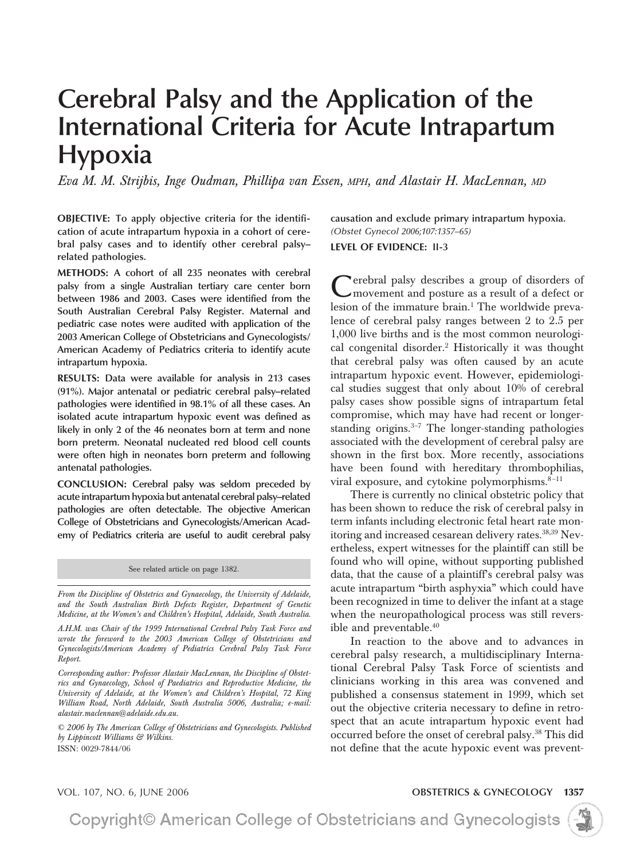# **Cerebral Palsy and the Application of the International Criteria for Acute Intrapartum Hypoxia**

*Eva M. M. Strijbis, Inge Oudman, Phillipa van Essen, MPH, and Alastair H. MacLennan, MD*

**OBJECTIVE: To apply objective criteria for the identification of acute intrapartum hypoxia in a cohort of cerebral palsy cases and to identify other cerebral palsy– related pathologies.**

**METHODS: A cohort of all 235 neonates with cerebral palsy from a single Australian tertiary care center born between 1986 and 2003. Cases were identified from the South Australian Cerebral Palsy Register. Maternal and pediatric case notes were audited with application of the 2003 American College of Obstetricians and Gynecologists/ American Academy of Pediatrics criteria to identify acute intrapartum hypoxia.**

**RESULTS: Data were available for analysis in 213 cases (91%). Major antenatal or pediatric cerebral palsy–related pathologies were identified in 98.1% of all these cases. An isolated acute intrapartum hypoxic event was defined as likely in only 2 of the 46 neonates born at term and none born preterm. Neonatal nucleated red blood cell counts were often high in neonates born preterm and following antenatal pathologies.**

**CONCLUSION: Cerebral palsy was seldom preceded by acute intrapartum hypoxia but antenatal cerebral palsy–related pathologies are often detectable. The objective American College of Obstetricians and Gynecologists/American Academy of Pediatrics criteria are useful to audit cerebral palsy**

See related article on page 1382.

*From the Discipline of Obstetrics and Gynaecology, the University of Adelaide, and the South Australian Birth Defects Register, Department of Genetic Medicine, at the Women's and Children's Hospital, Adelaide, South Australia.*

*A.H.M. was Chair of the 1999 International Cerebral Palsy Task Force and wrote the foreword to the 2003 American College of Obstetricians and Gynecologists/American Academy of Pediatrics Cerebral Palsy Task Force Report.*

*Corresponding author: Professor Alastair MacLennan, the Discipline of Obstetrics and Gynaecology, School of Paediatrics and Reproductive Medicine, the University of Adelaide, at the Women's and Children's Hospital, 72 King William Road, North Adelaide, South Australia 5006, Australia; e-mail: alastair.maclennan@adelaide.edu.au.*

*© 2006 by The American College of Obstetricians and Gynecologists. Published by Lippincott Williams & Wilkins.* ISSN: 0029-7844/06

**causation and exclude primary intrapartum hypoxia.** *(Obstet Gynecol 2006;107:1357–65)* **LEVEL OF EVIDENCE: II-3**

erebral palsy describes a group of disorders of movement and posture as a result of a defect or lesion of the immature brain.<sup>1</sup> The worldwide prevalence of cerebral palsy ranges between 2 to 2.5 per 1,000 live births and is the most common neurological congenital disorder.2 Historically it was thought that cerebral palsy was often caused by an acute intrapartum hypoxic event. However, epidemiological studies suggest that only about 10% of cerebral palsy cases show possible signs of intrapartum fetal compromise, which may have had recent or longerstanding origins. $3-7$  The longer-standing pathologies associated with the development of cerebral palsy are shown in the first box. More recently, associations have been found with hereditary thrombophilias,

There is currently no clinical obstetric policy that has been shown to reduce the risk of cerebral palsy in term infants including electronic fetal heart rate monitoring and increased cesarean delivery rates.<sup>38,39</sup> Nevertheless, expert witnesses for the plaintiff can still be found who will opine, without supporting published data, that the cause of a plaintiff's cerebral palsy was acute intrapartum "birth asphyxia" which could have been recognized in time to deliver the infant at a stage when the neuropathological process was still reversible and preventable.<sup>40</sup>

viral exposure, and cytokine polymorphisms. $8-11$ 

In reaction to the above and to advances in cerebral palsy research, a multidisciplinary International Cerebral Palsy Task Force of scientists and clinicians working in this area was convened and published a consensus statement in 1999, which set out the objective criteria necessary to define in retrospect that an acute intrapartum hypoxic event had occurred before the onset of cerebral palsy.38 This did not define that the acute hypoxic event was prevent-

VOL. 107, NO. 6, JUNE 2006 **OBSTETRICS & GYNECOLOGY 1357**

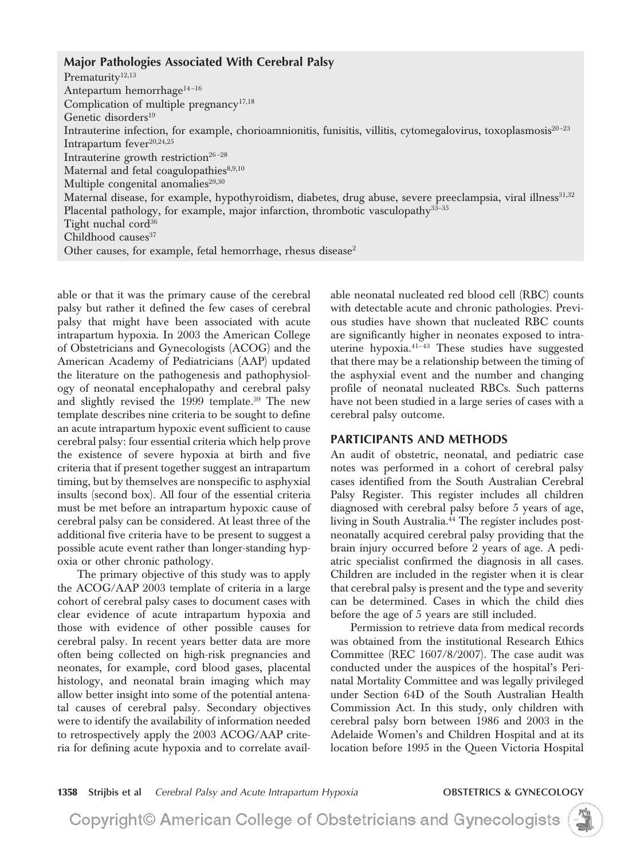#### **Major Pathologies Associated With Cerebral Palsy**

Prematurity<sup>12,13</sup> Antepartum hemorrhage<sup>14-16</sup> Complication of multiple pregnancy<sup>17,18</sup> Genetic disorders<sup>19</sup> Intrauterine infection, for example, chorioamnionitis, funisitis, villitis, cytomegalovirus, toxoplasmosis<sup>20-23</sup> Intrapartum fever<sup>20,24,25</sup> Intrauterine growth restriction<sup>26-28</sup> Maternal and fetal coagulopathies<sup>8,9,10</sup> Multiple congenital anomalies $^{29,30}$ Maternal disease, for example, hypothyroidism, diabetes, drug abuse, severe preeclampsia, viral illness<sup>31,32</sup> Placental pathology, for example, major infarction, thrombotic vasculopathy<sup>33-35</sup> Tight nuchal cord $36$ Childhood causes $37$ Other causes, for example, fetal hemorrhage, rhesus disease<sup>2</sup>

able or that it was the primary cause of the cerebral palsy but rather it defined the few cases of cerebral palsy that might have been associated with acute intrapartum hypoxia. In 2003 the American College of Obstetricians and Gynecologists (ACOG) and the American Academy of Pediatricians (AAP) updated the literature on the pathogenesis and pathophysiology of neonatal encephalopathy and cerebral palsy and slightly revised the 1999 template.<sup>39</sup> The new template describes nine criteria to be sought to define an acute intrapartum hypoxic event sufficient to cause cerebral palsy: four essential criteria which help prove the existence of severe hypoxia at birth and five criteria that if present together suggest an intrapartum timing, but by themselves are nonspecific to asphyxial insults (second box). All four of the essential criteria must be met before an intrapartum hypoxic cause of cerebral palsy can be considered. At least three of the additional five criteria have to be present to suggest a possible acute event rather than longer-standing hypoxia or other chronic pathology.

The primary objective of this study was to apply the ACOG/AAP 2003 template of criteria in a large cohort of cerebral palsy cases to document cases with clear evidence of acute intrapartum hypoxia and those with evidence of other possible causes for cerebral palsy. In recent years better data are more often being collected on high-risk pregnancies and neonates, for example, cord blood gases, placental histology, and neonatal brain imaging which may allow better insight into some of the potential antenatal causes of cerebral palsy. Secondary objectives were to identify the availability of information needed to retrospectively apply the 2003 ACOG/AAP criteria for defining acute hypoxia and to correlate available neonatal nucleated red blood cell (RBC) counts with detectable acute and chronic pathologies. Previous studies have shown that nucleated RBC counts are significantly higher in neonates exposed to intrauterine hypoxia. $41-43$  These studies have suggested that there may be a relationship between the timing of the asphyxial event and the number and changing profile of neonatal nucleated RBCs. Such patterns have not been studied in a large series of cases with a cerebral palsy outcome.

#### **PARTICIPANTS AND METHODS**

An audit of obstetric, neonatal, and pediatric case notes was performed in a cohort of cerebral palsy cases identified from the South Australian Cerebral Palsy Register. This register includes all children diagnosed with cerebral palsy before 5 years of age, living in South Australia.<sup>44</sup> The register includes postneonatally acquired cerebral palsy providing that the brain injury occurred before 2 years of age. A pediatric specialist confirmed the diagnosis in all cases. Children are included in the register when it is clear that cerebral palsy is present and the type and severity can be determined. Cases in which the child dies before the age of 5 years are still included.

Permission to retrieve data from medical records was obtained from the institutional Research Ethics Committee (REC 1607/8/2007). The case audit was conducted under the auspices of the hospital's Perinatal Mortality Committee and was legally privileged under Section 64D of the South Australian Health Commission Act. In this study, only children with cerebral palsy born between 1986 and 2003 in the Adelaide Women's and Children Hospital and at its location before 1995 in the Queen Victoria Hospital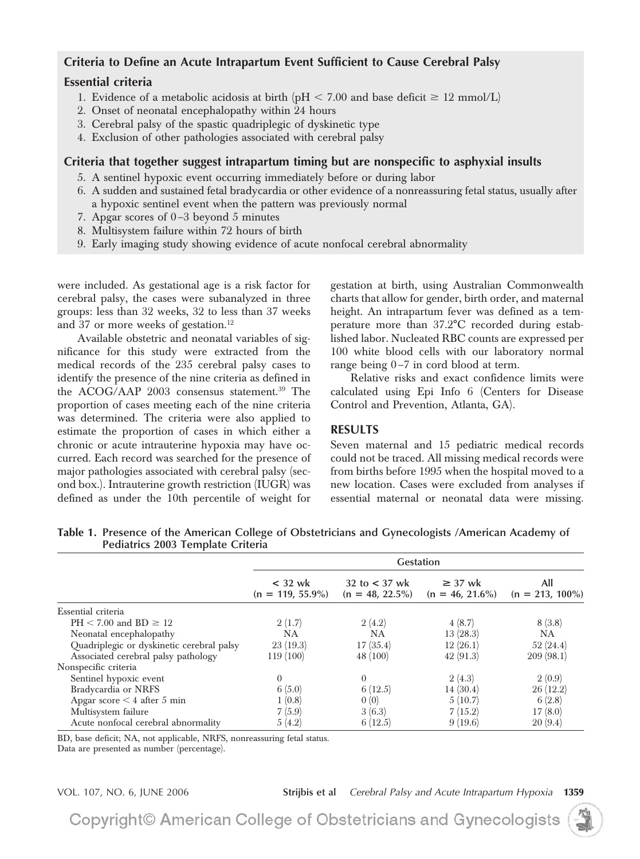## **Criteria to Define an Acute Intrapartum Event Sufficient to Cause Cerebral Palsy**

### **Essential criteria**

- 1. Evidence of a metabolic acidosis at birth (pH  $<$  7.00 and base deficit  $\geq$  12 mmol/L)
- 2. Onset of neonatal encephalopathy within 24 hours
- 3. Cerebral palsy of the spastic quadriplegic of dyskinetic type
- 4. Exclusion of other pathologies associated with cerebral palsy

### **Criteria that together suggest intrapartum timing but are nonspecific to asphyxial insults**

- 5. A sentinel hypoxic event occurring immediately before or during labor
- 6. A sudden and sustained fetal bradycardia or other evidence of a nonreassuring fetal status, usually after a hypoxic sentinel event when the pattern was previously normal
- 7. Apgar scores of 0 –3 beyond 5 minutes
- 8. Multisystem failure within 72 hours of birth
- 9. Early imaging study showing evidence of acute nonfocal cerebral abnormality

were included. As gestational age is a risk factor for cerebral palsy, the cases were subanalyzed in three groups: less than 32 weeks, 32 to less than 37 weeks and 37 or more weeks of gestation.<sup>12</sup>

Available obstetric and neonatal variables of significance for this study were extracted from the medical records of the 235 cerebral palsy cases to identify the presence of the nine criteria as defined in the ACOG/AAP 2003 consensus statement.<sup>39</sup> The proportion of cases meeting each of the nine criteria was determined. The criteria were also applied to estimate the proportion of cases in which either a chronic or acute intrauterine hypoxia may have occurred. Each record was searched for the presence of major pathologies associated with cerebral palsy (second box.). Intrauterine growth restriction (IUGR) was defined as under the 10th percentile of weight for

gestation at birth, using Australian Commonwealth charts that allow for gender, birth order, and maternal height. An intrapartum fever was defined as a temperature more than 37.2°C recorded during established labor. Nucleated RBC counts are expressed per 100 white blood cells with our laboratory normal range being  $0-7$  in cord blood at term.

Relative risks and exact confidence limits were calculated using Epi Info 6 (Centers for Disease Control and Prevention, Atlanta, GA).

## **RESULTS**

Seven maternal and 15 pediatric medical records could not be traced. All missing medical records were from births before 1995 when the hospital moved to a new location. Cases were excluded from analyses if essential maternal or neonatal data were missing.

| rediatrics 2005 remplate Criteria         |                                  |                                       |                                    |                           |  |  |
|-------------------------------------------|----------------------------------|---------------------------------------|------------------------------------|---------------------------|--|--|
|                                           | <b>Gestation</b>                 |                                       |                                    |                           |  |  |
|                                           | $<$ 32 wk<br>$(n = 119, 55.9\%)$ | 32 to $<$ 37 wk<br>$(n = 48, 22.5\%)$ | $\geq$ 37 wk<br>$(n = 46, 21.6\%)$ | All<br>$(n = 213, 100\%)$ |  |  |
| Essential criteria                        |                                  |                                       |                                    |                           |  |  |
| $PH < 7.00$ and $BD \ge 12$               | 2(1.7)                           | 2(4.2)                                | 4(8.7)                             | 8(3.8)                    |  |  |
| Neonatal encephalopathy                   | NΑ                               | <b>NA</b>                             | 13(28.3)                           | NA.                       |  |  |
| Quadriplegic or dyskinetic cerebral palsy | 23(19.3)                         | 17(35.4)                              | 12(26.1)                           | 52(24.4)                  |  |  |
| Associated cerebral palsy pathology       | 119 (100)                        | 48 (100)                              | 42(91.3)                           | 209(98.1)                 |  |  |
| Nonspecific criteria                      |                                  |                                       |                                    |                           |  |  |
| Sentinel hypoxic event                    | $\Omega$                         | $\Omega$                              | 2(4.3)                             | 2(0.9)                    |  |  |
| Bradycardia or NRFS                       | 6(5.0)                           | 6(12.5)                               | 14(30.4)                           | 26(12.2)                  |  |  |
| Apgar score $\leq 4$ after 5 min          | 1(0.8)                           | 0(0)                                  | 5(10.7)                            | 6(2.8)                    |  |  |
| Multisystem failure                       | 7(5.9)                           | 3(6.3)                                | 7(15.2)                            | 17(8.0)                   |  |  |
| Acute nonfocal cerebral abnormality       | 5(4.2)                           | 6(12.5)                               | 9(19.6)                            | 20(9.4)                   |  |  |

**Table 1. Presence of the American College of Obstetricians and Gynecologists /American Academy of Pediatrics 2003 Template Criteria**

BD, base deficit; NA, not applicable, NRFS, nonreassuring fetal status.

Data are presented as number (percentage).

VOL. 107, NO. 6, JUNE 2006 **Strijbis et al** *Cerebral Palsy and Acute Intrapartum Hypoxia* **1359**

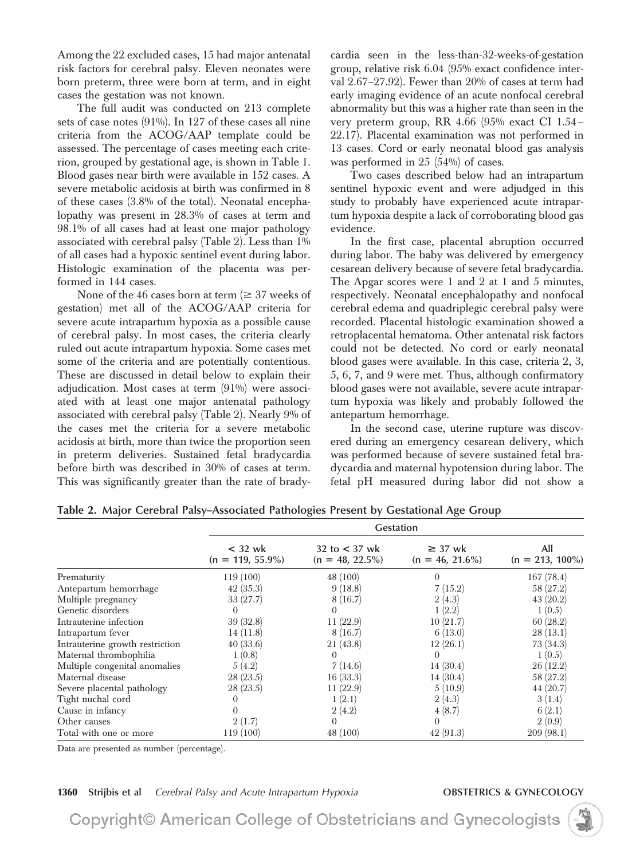Among the 22 excluded cases, 15 had major antenatal risk factors for cerebral palsy. Eleven neonates were born preterm, three were born at term, and in eight cases the gestation was not known.

The full audit was conducted on 213 complete sets of case notes (91%). In 127 of these cases all nine criteria from the ACOG/AAP template could be assessed. The percentage of cases meeting each criterion, grouped by gestational age, is shown in Table 1. Blood gases near birth were available in 152 cases. A severe metabolic acidosis at birth was confirmed in 8 of these cases (3.8% of the total). Neonatal encephalopathy was present in 28.3% of cases at term and 98.1% of all cases had at least one major pathology associated with cerebral palsy (Table 2). Less than 1% of all cases had a hypoxic sentinel event during labor. Histologic examination of the placenta was performed in 144 cases.

None of the 46 cases born at term ( $\geq$  37 weeks of gestation) met all of the ACOG/AAP criteria for severe acute intrapartum hypoxia as a possible cause of cerebral palsy. In most cases, the criteria clearly ruled out acute intrapartum hypoxia. Some cases met some of the criteria and are potentially contentious. These are discussed in detail below to explain their adjudication. Most cases at term (91%) were associated with at least one major antenatal pathology associated with cerebral palsy (Table 2). Nearly 9% of the cases met the criteria for a severe metabolic acidosis at birth, more than twice the proportion seen in preterm deliveries. Sustained fetal bradycardia before birth was described in 30% of cases at term. This was significantly greater than the rate of bradycardia seen in the less-than-32-weeks-of-gestation group, relative risk 6.04 (95% exact confidence interval 2.67–27.92). Fewer than 20% of cases at term had early imaging evidence of an acute nonfocal cerebral abnormality but this was a higher rate than seen in the very preterm group, RR 4.66 (95% exact CI 1.54 – 22.17). Placental examination was not performed in 13 cases. Cord or early neonatal blood gas analysis was performed in 25 (54%) of cases.

Two cases described below had an intrapartum sentinel hypoxic event and were adjudged in this study to probably have experienced acute intrapartum hypoxia despite a lack of corroborating blood gas evidence.

In the first case, placental abruption occurred during labor. The baby was delivered by emergency cesarean delivery because of severe fetal bradycardia. The Apgar scores were 1 and 2 at 1 and 5 minutes, respectively. Neonatal encephalopathy and nonfocal cerebral edema and quadriplegic cerebral palsy were recorded. Placental histologic examination showed a retroplacental hematoma. Other antenatal risk factors could not be detected. No cord or early neonatal blood gases were available. In this case, criteria 2, 3, 5, 6, 7, and 9 were met. Thus, although confirmatory blood gases were not available, severe acute intrapartum hypoxia was likely and probably followed the antepartum hemorrhage.

In the second case, uterine rupture was discovered during an emergency cesarean delivery, which was performed because of severe sustained fetal bradycardia and maternal hypotension during labor. The fetal pH measured during labor did not show a

|                                 | <b>Gestation</b>                 |                                       |                                    |                           |  |
|---------------------------------|----------------------------------|---------------------------------------|------------------------------------|---------------------------|--|
|                                 | $<$ 32 wk<br>$(n = 119, 55.9\%)$ | 32 to $<$ 37 wk<br>$(n = 48, 22.5\%)$ | $\geq$ 37 wk<br>$(n = 46, 21.6\%)$ | All<br>$(n = 213, 100\%)$ |  |
| Prematurity                     | 119(100)                         | 48 (100)                              | $\theta$                           | 167(78.4)                 |  |
| Antepartum hemorrhage           | 42(35.3)                         | 9(18.8)                               | 7(15.2)                            | 58 (27.2)                 |  |
| Multiple pregnancy              | 33(27.7)                         | 8(16.7)                               | 2(4.3)                             | 43(20.2)                  |  |
| Genetic disorders               | $\theta$                         | $\theta$                              | 1(2.2)                             | 1(0.5)                    |  |
| Intrauterine infection          | 39(32.8)                         | 11(22.9)                              | 10(21.7)                           | 60(28.2)                  |  |
| Intrapartum fever               | 14(11.8)                         | 8(16.7)                               | 6(13.0)                            | 28(13.1)                  |  |
| Intrauterine growth restriction | 40(33.6)                         | 21(43.8)                              | 12(26.1)                           | 73 (34.3)                 |  |
| Maternal thrombophilia          | 1(0.8)                           | $\theta$                              | $\Omega$                           | 1(0.5)                    |  |
| Multiple congenital anomalies   | 5(4.2)                           | 7(14.6)                               | 14(30.4)                           | 26(12.2)                  |  |
| Maternal disease                | 28(23.5)                         | 16(33.3)                              | 14(30.4)                           | 58 (27.2)                 |  |
| Severe placental pathology      | 28(23.5)                         | 11(22.9)                              | 5(10.9)                            | 44(20.7)                  |  |
| Tight nuchal cord               |                                  | 1(2.1)                                | 2(4.3)                             | 3(1.4)                    |  |
| Cause in infancy                |                                  | 2(4.2)                                | 4(8.7)                             | 6(2.1)                    |  |
| Other causes                    | 2(1.7)                           | $\theta$                              | $\Omega$                           | 2(0.9)                    |  |
| Total with one or more          | 119 (100)                        | 48 (100)                              | 42(91.3)                           | 209(98.1)                 |  |

**Table 2. Major Cerebral Palsy–Associated Pathologies Present by Gestational Age Group**

Data are presented as number (percentage).

**1360 Strijbis et al** *Cerebral Palsy and Acute Intrapartum Hypoxia* **OBSTETRICS & GYNECOLOGY**

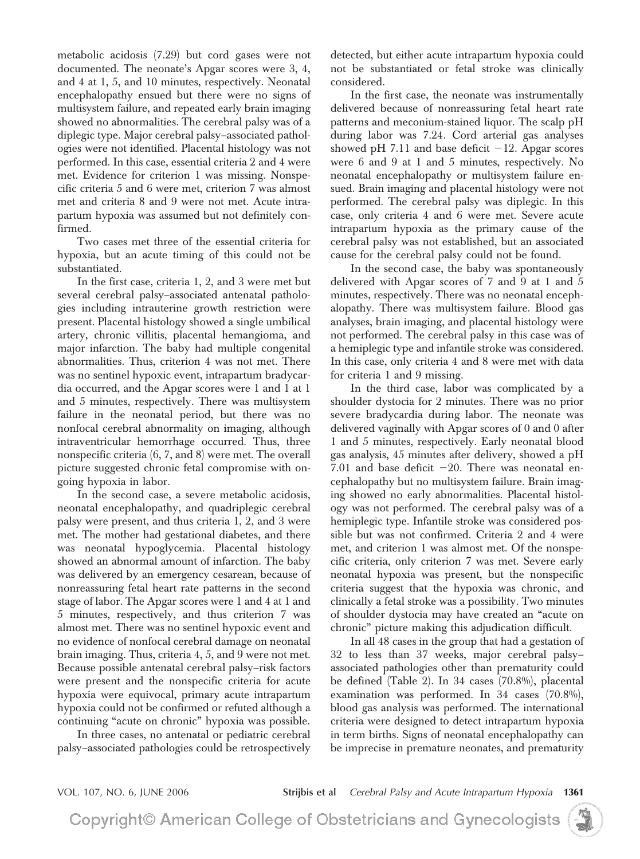metabolic acidosis (7.29) but cord gases were not documented. The neonate's Apgar scores were 3, 4, and 4 at 1, 5, and 10 minutes, respectively. Neonatal encephalopathy ensued but there were no signs of multisystem failure, and repeated early brain imaging showed no abnormalities. The cerebral palsy was of a diplegic type. Major cerebral palsy–associated pathologies were not identified. Placental histology was not performed. In this case, essential criteria 2 and 4 were met. Evidence for criterion 1 was missing. Nonspecific criteria 5 and 6 were met, criterion 7 was almost met and criteria 8 and 9 were not met. Acute intrapartum hypoxia was assumed but not definitely confirmed.

Two cases met three of the essential criteria for hypoxia, but an acute timing of this could not be substantiated.

In the first case, criteria 1, 2, and 3 were met but several cerebral palsy–associated antenatal pathologies including intrauterine growth restriction were present. Placental histology showed a single umbilical artery, chronic villitis, placental hemangioma, and major infarction. The baby had multiple congenital abnormalities. Thus, criterion 4 was not met. There was no sentinel hypoxic event, intrapartum bradycardia occurred, and the Apgar scores were 1 and 1 at 1 and 5 minutes, respectively. There was multisystem failure in the neonatal period, but there was no nonfocal cerebral abnormality on imaging, although intraventricular hemorrhage occurred. Thus, three nonspecific criteria (6, 7, and 8) were met. The overall picture suggested chronic fetal compromise with ongoing hypoxia in labor.

In the second case, a severe metabolic acidosis, neonatal encephalopathy, and quadriplegic cerebral palsy were present, and thus criteria 1, 2, and 3 were met. The mother had gestational diabetes, and there was neonatal hypoglycemia. Placental histology showed an abnormal amount of infarction. The baby was delivered by an emergency cesarean, because of nonreassuring fetal heart rate patterns in the second stage of labor. The Apgar scores were 1 and 4 at 1 and 5 minutes, respectively, and thus criterion 7 was almost met. There was no sentinel hypoxic event and no evidence of nonfocal cerebral damage on neonatal brain imaging. Thus, criteria 4, 5, and 9 were not met. Because possible antenatal cerebral palsy–risk factors were present and the nonspecific criteria for acute hypoxia were equivocal, primary acute intrapartum hypoxia could not be confirmed or refuted although a continuing "acute on chronic" hypoxia was possible.

In three cases, no antenatal or pediatric cerebral palsy–associated pathologies could be retrospectively detected, but either acute intrapartum hypoxia could not be substantiated or fetal stroke was clinically considered.

In the first case, the neonate was instrumentally delivered because of nonreassuring fetal heart rate patterns and meconium-stained liquor. The scalp pH during labor was 7.24. Cord arterial gas analyses showed pH 7.11 and base deficit  $-12$ . Apgar scores were 6 and 9 at 1 and 5 minutes, respectively. No neonatal encephalopathy or multisystem failure ensued. Brain imaging and placental histology were not performed. The cerebral palsy was diplegic. In this case, only criteria 4 and 6 were met. Severe acute intrapartum hypoxia as the primary cause of the cerebral palsy was not established, but an associated cause for the cerebral palsy could not be found.

In the second case, the baby was spontaneously delivered with Apgar scores of 7 and 9 at 1 and 5 minutes, respectively. There was no neonatal encephalopathy. There was multisystem failure. Blood gas analyses, brain imaging, and placental histology were not performed. The cerebral palsy in this case was of a hemiplegic type and infantile stroke was considered. In this case, only criteria 4 and 8 were met with data for criteria 1 and 9 missing.

In the third case, labor was complicated by a shoulder dystocia for 2 minutes. There was no prior severe bradycardia during labor. The neonate was delivered vaginally with Apgar scores of 0 and 0 after 1 and 5 minutes, respectively. Early neonatal blood gas analysis, 45 minutes after delivery, showed a pH 7.01 and base deficit  $-20$ . There was neonatal encephalopathy but no multisystem failure. Brain imaging showed no early abnormalities. Placental histology was not performed. The cerebral palsy was of a hemiplegic type. Infantile stroke was considered possible but was not confirmed. Criteria 2 and 4 were met, and criterion 1 was almost met. Of the nonspecific criteria, only criterion 7 was met. Severe early neonatal hypoxia was present, but the nonspecific criteria suggest that the hypoxia was chronic, and clinically a fetal stroke was a possibility. Two minutes of shoulder dystocia may have created an "acute on chronic" picture making this adjudication difficult.

In all 48 cases in the group that had a gestation of 32 to less than 37 weeks, major cerebral palsy– associated pathologies other than prematurity could be defined (Table 2). In 34 cases (70.8%), placental examination was performed. In 34 cases (70.8%), blood gas analysis was performed. The international criteria were designed to detect intrapartum hypoxia in term births. Signs of neonatal encephalopathy can be imprecise in premature neonates, and prematurity

VOL. 107, NO. 6, JUNE 2006 **Strijbis et al** *Cerebral Palsy and Acute Intrapartum Hypoxia* **1361**

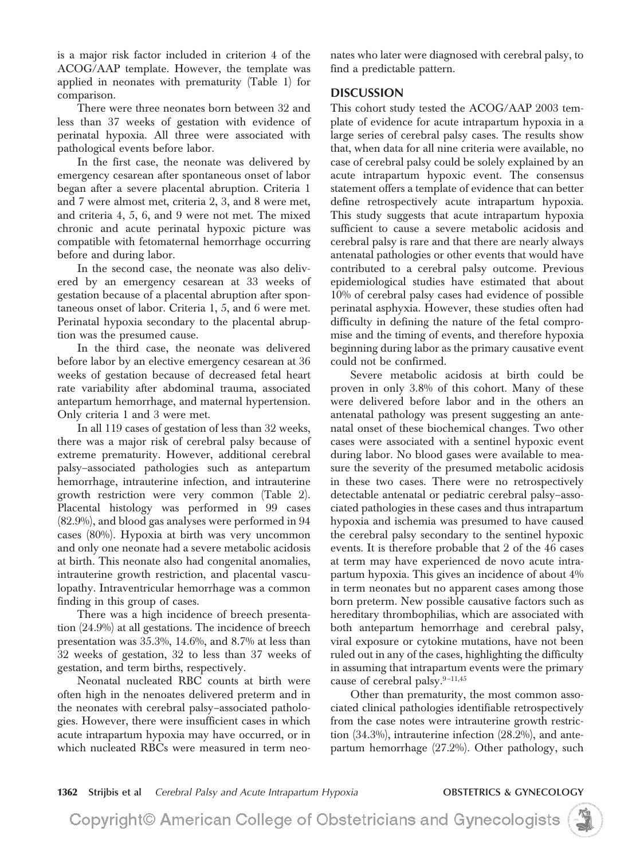is a major risk factor included in criterion 4 of the ACOG/AAP template. However, the template was applied in neonates with prematurity (Table 1) for comparison.

There were three neonates born between 32 and less than 37 weeks of gestation with evidence of perinatal hypoxia. All three were associated with pathological events before labor.

In the first case, the neonate was delivered by emergency cesarean after spontaneous onset of labor began after a severe placental abruption. Criteria 1 and 7 were almost met, criteria 2, 3, and 8 were met, and criteria 4, 5, 6, and 9 were not met. The mixed chronic and acute perinatal hypoxic picture was compatible with fetomaternal hemorrhage occurring before and during labor.

In the second case, the neonate was also delivered by an emergency cesarean at 33 weeks of gestation because of a placental abruption after spontaneous onset of labor. Criteria 1, 5, and 6 were met. Perinatal hypoxia secondary to the placental abruption was the presumed cause.

In the third case, the neonate was delivered before labor by an elective emergency cesarean at 36 weeks of gestation because of decreased fetal heart rate variability after abdominal trauma, associated antepartum hemorrhage, and maternal hypertension. Only criteria 1 and 3 were met.

In all 119 cases of gestation of less than 32 weeks, there was a major risk of cerebral palsy because of extreme prematurity. However, additional cerebral palsy–associated pathologies such as antepartum hemorrhage, intrauterine infection, and intrauterine growth restriction were very common (Table 2). Placental histology was performed in 99 cases (82.9%), and blood gas analyses were performed in 94 cases (80%). Hypoxia at birth was very uncommon and only one neonate had a severe metabolic acidosis at birth. This neonate also had congenital anomalies, intrauterine growth restriction, and placental vasculopathy. Intraventricular hemorrhage was a common finding in this group of cases.

There was a high incidence of breech presentation (24.9%) at all gestations. The incidence of breech presentation was 35.3%, 14.6%, and 8.7% at less than 32 weeks of gestation, 32 to less than 37 weeks of gestation, and term births, respectively.

Neonatal nucleated RBC counts at birth were often high in the nenoates delivered preterm and in the neonates with cerebral palsy–associated pathologies. However, there were insufficient cases in which acute intrapartum hypoxia may have occurred, or in which nucleated RBCs were measured in term neonates who later were diagnosed with cerebral palsy, to find a predictable pattern.

### **DISCUSSION**

This cohort study tested the ACOG/AAP 2003 template of evidence for acute intrapartum hypoxia in a large series of cerebral palsy cases. The results show that, when data for all nine criteria were available, no case of cerebral palsy could be solely explained by an acute intrapartum hypoxic event. The consensus statement offers a template of evidence that can better define retrospectively acute intrapartum hypoxia. This study suggests that acute intrapartum hypoxia sufficient to cause a severe metabolic acidosis and cerebral palsy is rare and that there are nearly always antenatal pathologies or other events that would have contributed to a cerebral palsy outcome. Previous epidemiological studies have estimated that about 10% of cerebral palsy cases had evidence of possible perinatal asphyxia. However, these studies often had difficulty in defining the nature of the fetal compromise and the timing of events, and therefore hypoxia beginning during labor as the primary causative event could not be confirmed.

Severe metabolic acidosis at birth could be proven in only 3.8% of this cohort. Many of these were delivered before labor and in the others an antenatal pathology was present suggesting an antenatal onset of these biochemical changes. Two other cases were associated with a sentinel hypoxic event during labor. No blood gases were available to measure the severity of the presumed metabolic acidosis in these two cases. There were no retrospectively detectable antenatal or pediatric cerebral palsy–associated pathologies in these cases and thus intrapartum hypoxia and ischemia was presumed to have caused the cerebral palsy secondary to the sentinel hypoxic events. It is therefore probable that 2 of the 46 cases at term may have experienced de novo acute intrapartum hypoxia. This gives an incidence of about 4% in term neonates but no apparent cases among those born preterm. New possible causative factors such as hereditary thrombophilias, which are associated with both antepartum hemorrhage and cerebral palsy, viral exposure or cytokine mutations, have not been ruled out in any of the cases, highlighting the difficulty in assuming that intrapartum events were the primary cause of cerebral palsy.<sup>9-11,45</sup>

Other than prematurity, the most common associated clinical pathologies identifiable retrospectively from the case notes were intrauterine growth restriction (34.3%), intrauterine infection (28.2%), and antepartum hemorrhage (27.2%). Other pathology, such

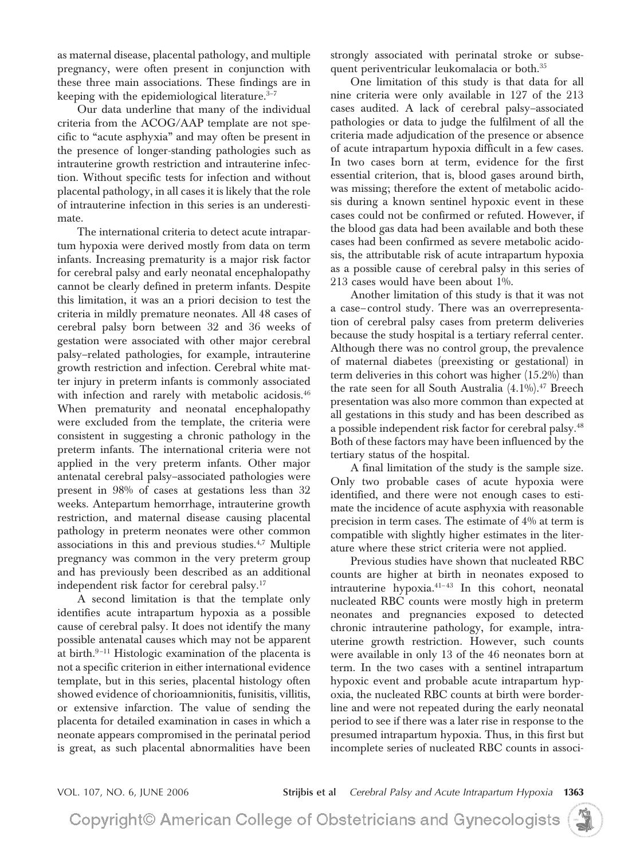as maternal disease, placental pathology, and multiple pregnancy, were often present in conjunction with these three main associations. These findings are in keeping with the epidemiological literature. $3-7$ 

Our data underline that many of the individual criteria from the ACOG/AAP template are not specific to "acute asphyxia" and may often be present in the presence of longer-standing pathologies such as intrauterine growth restriction and intrauterine infection. Without specific tests for infection and without placental pathology, in all cases it is likely that the role of intrauterine infection in this series is an underestimate.

The international criteria to detect acute intrapartum hypoxia were derived mostly from data on term infants. Increasing prematurity is a major risk factor for cerebral palsy and early neonatal encephalopathy cannot be clearly defined in preterm infants. Despite this limitation, it was an a priori decision to test the criteria in mildly premature neonates. All 48 cases of cerebral palsy born between 32 and 36 weeks of gestation were associated with other major cerebral palsy–related pathologies, for example, intrauterine growth restriction and infection. Cerebral white matter injury in preterm infants is commonly associated with infection and rarely with metabolic acidosis.<sup>46</sup> When prematurity and neonatal encephalopathy were excluded from the template, the criteria were consistent in suggesting a chronic pathology in the preterm infants. The international criteria were not applied in the very preterm infants. Other major antenatal cerebral palsy–associated pathologies were present in 98% of cases at gestations less than 32 weeks. Antepartum hemorrhage, intrauterine growth restriction, and maternal disease causing placental pathology in preterm neonates were other common associations in this and previous studies.<sup>4,7</sup> Multiple pregnancy was common in the very preterm group and has previously been described as an additional independent risk factor for cerebral palsy.17

A second limitation is that the template only identifies acute intrapartum hypoxia as a possible cause of cerebral palsy. It does not identify the many possible antenatal causes which may not be apparent at birth.<sup>9-11</sup> Histologic examination of the placenta is not a specific criterion in either international evidence template, but in this series, placental histology often showed evidence of chorioamnionitis, funisitis, villitis, or extensive infarction. The value of sending the placenta for detailed examination in cases in which a neonate appears compromised in the perinatal period is great, as such placental abnormalities have been

strongly associated with perinatal stroke or subsequent periventricular leukomalacia or both.35

One limitation of this study is that data for all nine criteria were only available in 127 of the 213 cases audited. A lack of cerebral palsy–associated pathologies or data to judge the fulfilment of all the criteria made adjudication of the presence or absence of acute intrapartum hypoxia difficult in a few cases. In two cases born at term, evidence for the first essential criterion, that is, blood gases around birth, was missing; therefore the extent of metabolic acidosis during a known sentinel hypoxic event in these cases could not be confirmed or refuted. However, if the blood gas data had been available and both these cases had been confirmed as severe metabolic acidosis, the attributable risk of acute intrapartum hypoxia as a possible cause of cerebral palsy in this series of 213 cases would have been about 1%.

Another limitation of this study is that it was not a case– control study. There was an overrepresentation of cerebral palsy cases from preterm deliveries because the study hospital is a tertiary referral center. Although there was no control group, the prevalence of maternal diabetes (preexisting or gestational) in term deliveries in this cohort was higher (15.2%) than the rate seen for all South Australia  $(4.1\%)$ .<sup>47</sup> Breech presentation was also more common than expected at all gestations in this study and has been described as a possible independent risk factor for cerebral palsy.<sup>48</sup> Both of these factors may have been influenced by the tertiary status of the hospital.

A final limitation of the study is the sample size. Only two probable cases of acute hypoxia were identified, and there were not enough cases to estimate the incidence of acute asphyxia with reasonable precision in term cases. The estimate of 4% at term is compatible with slightly higher estimates in the literature where these strict criteria were not applied.

Previous studies have shown that nucleated RBC counts are higher at birth in neonates exposed to intrauterine hypoxia. $41-43$  In this cohort, neonatal nucleated RBC counts were mostly high in preterm neonates and pregnancies exposed to detected chronic intrauterine pathology, for example, intrauterine growth restriction. However, such counts were available in only 13 of the 46 neonates born at term. In the two cases with a sentinel intrapartum hypoxic event and probable acute intrapartum hypoxia, the nucleated RBC counts at birth were borderline and were not repeated during the early neonatal period to see if there was a later rise in response to the presumed intrapartum hypoxia. Thus, in this first but incomplete series of nucleated RBC counts in associ-

VOL. 107, NO. 6, JUNE 2006 **Strijbis et al** *Cerebral Palsy and Acute Intrapartum Hypoxia* **1363**

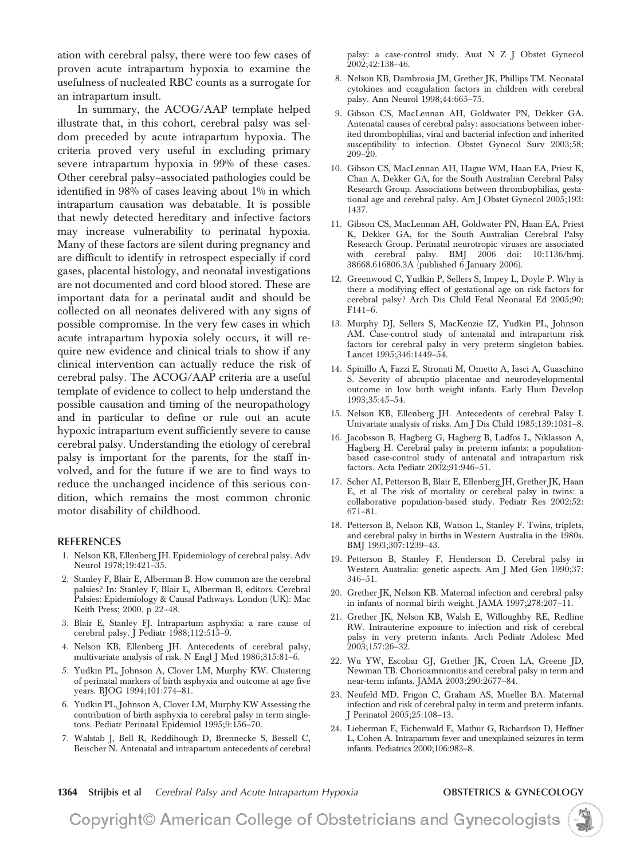ation with cerebral palsy, there were too few cases of proven acute intrapartum hypoxia to examine the usefulness of nucleated RBC counts as a surrogate for an intrapartum insult.

In summary, the ACOG/AAP template helped illustrate that, in this cohort, cerebral palsy was seldom preceded by acute intrapartum hypoxia. The criteria proved very useful in excluding primary severe intrapartum hypoxia in 99% of these cases. Other cerebral palsy–associated pathologies could be identified in 98% of cases leaving about 1% in which intrapartum causation was debatable. It is possible that newly detected hereditary and infective factors may increase vulnerability to perinatal hypoxia. Many of these factors are silent during pregnancy and are difficult to identify in retrospect especially if cord gases, placental histology, and neonatal investigations are not documented and cord blood stored. These are important data for a perinatal audit and should be collected on all neonates delivered with any signs of possible compromise. In the very few cases in which acute intrapartum hypoxia solely occurs, it will require new evidence and clinical trials to show if any clinical intervention can actually reduce the risk of cerebral palsy. The ACOG/AAP criteria are a useful template of evidence to collect to help understand the possible causation and timing of the neuropathology and in particular to define or rule out an acute hypoxic intrapartum event sufficiently severe to cause cerebral palsy. Understanding the etiology of cerebral palsy is important for the parents, for the staff involved, and for the future if we are to find ways to reduce the unchanged incidence of this serious condition, which remains the most common chronic motor disability of childhood.

#### **REFERENCES**

- 1. Nelson KB, Ellenberg JH. Epidemiology of cerebral palsy. Adv Neurol 1978;19:421–35.
- 2. Stanley F, Blair E, Alberman B. How common are the cerebral palsies? In: Stanley F, Blair E, Alberman B, editors. Cerebral Palsies: Epidemiology & Causal Pathways. London (UK): Mac Keith Press; 2000. p 22–48.
- 3. Blair E, Stanley FJ. Intrapartum asphyxia: a rare cause of cerebral palsy. J Pediatr 1988;112:515–9.
- 4. Nelson KB, Ellenberg JH. Antecedents of cerebral palsy, multivariate analysis of risk. N Engl J Med 1986;315:81–6.
- 5. Yudkin PL, Johnson A, Clover LM, Murphy KW. Clustering of perinatal markers of birth asphyxia and outcome at age five years. BJOG 1994;101:774–81.
- 6. Yudkin PL, Johnson A, Clover LM, Murphy KW Assessing the contribution of birth asphyxia to cerebral palsy in term singletons. Pediatr Perinatal Epidemiol 1995;9:156–70.
- 7. Walstab J, Bell R, Reddihough D, Brennecke S, Bessell C, Beischer N. Antenatal and intrapartum antecedents of cerebral

palsy: a case-control study. Aust N Z J Obstet Gynecol 2002;42:138–46.

- 8. Nelson KB, Dambrosia JM, Grether JK, Phillips TM. Neonatal cytokines and coagulation factors in children with cerebral palsy. Ann Neurol 1998;44:665–75.
- 9. Gibson CS, MacLennan AH, Goldwater PN, Dekker GA. Antenatal causes of cerebral palsy: associations between inherited thrombophilias, viral and bacterial infection and inherited susceptibility to infection. Obstet Gynecol Surv 2003;58: 209–20.
- 10. Gibson CS, MacLennan AH, Hague WM, Haan EA, Priest K, Chan A, Dekker GA, for the South Australian Cerebral Palsy Research Group. Associations between thrombophilias, gestational age and cerebral palsy. Am J Obstet Gynecol 2005;193: 1437.
- 11. Gibson CS, MacLennan AH, Goldwater PN, Haan EA, Priest K, Dekker GA, for the South Australian Cerebral Palsy Research Group. Perinatal neurotropic viruses are associated with cerebral palsy. BMJ 2006 doi: 10:1136/bmj. 38668.616806.3A (published 6 January 2006).
- 12. Greenwood C, Yudkin P, Sellers S, Impey L, Doyle P. Why is there a modifying effect of gestational age on risk factors for cerebral palsy? Arch Dis Child Fetal Neonatal Ed 2005;90: F141–6.
- 13. Murphy DJ, Sellers S, MacKenzie IZ, Yudkin PL, Johnson AM. Case-control study of antenatal and intrapartum risk factors for cerebral palsy in very preterm singleton babies. Lancet 1995;346:1449–54.
- 14. Spinillo A, Fazzi E, Stronati M, Ometto A, Iasci A, Guaschino S. Severity of abruptio placentae and neurodevelopmental outcome in low birth weight infants. Early Hum Develop 1993;35:45–54.
- 15. Nelson KB, Ellenberg JH. Antecedents of cerebral Palsy I. Univariate analysis of risks. Am J Dis Child 1985;139:1031–8.
- 16. Jacobsson B, Hagberg G, Hagberg B, Ladfos L, Niklasson A, Hagberg H. Cerebral palsy in preterm infants: a populationbased case-control study of antenatal and intrapartum risk factors. Acta Pediatr 2002;91:946–51.
- 17. Scher AI, Petterson B, Blair E, Ellenberg JH, Grether JK, Haan E, et al The risk of mortality or cerebral palsy in twins: a collaborative population-based study. Pediatr Res 2002;52: 671–81.
- 18. Petterson B, Nelson KB, Watson L, Stanley F. Twins, triplets, and cerebral palsy in births in Western Australia in the 1980s. BMJ 1993;307:1239–43.
- 19. Petterson B, Stanley F, Henderson D. Cerebral palsy in Western Australia: genetic aspects. Am J Med Gen 1990;37: 346–51.
- 20. Grether JK, Nelson KB. Maternal infection and cerebral palsy in infants of normal birth weight. JAMA 1997;278:207–11.
- 21. Grether JK, Nelson KB, Walsh E, Willoughby RE, Redline RW. Intrauterine exposure to infection and risk of cerebral palsy in very preterm infants. Arch Pediatr Adolesc Med 2003;157:26–32.
- 22. Wu YW, Escobar GJ, Grether JK, Croen LA, Greene JD, Newman TB. Chorioamnionitis and cerebral palsy in term and near-term infants. JAMA 2003;290:2677–84.
- 23. Neufeld MD, Frigon C, Graham AS, Mueller BA. Maternal infection and risk of cerebral palsy in term and preterm infants. J Perinatol 2005;25:108–13.
- 24. Lieberman E, Eichenwald E, Mathur G, Richardson D, Heffner L, Cohen A. Intrapartum fever and unexplained seizures in term infants. Pediatrics 2000;106:983–8.

**1364 Strijbis et al** *Cerebral Palsy and Acute Intrapartum Hypoxia* **OBSTETRICS & GYNECOLOGY**